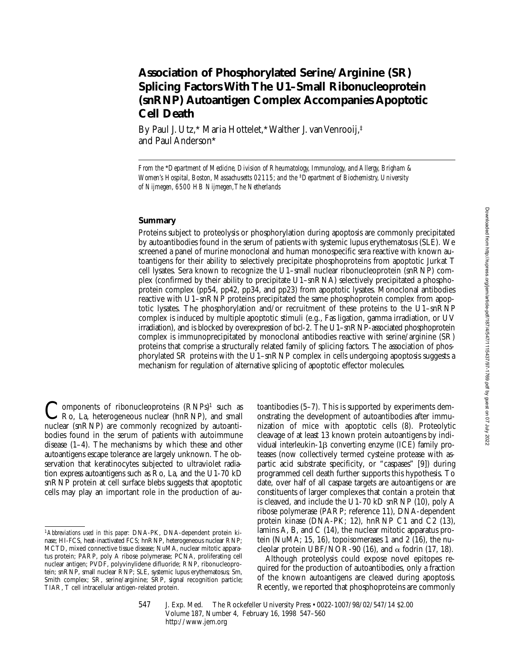# **Association of Phosphorylated Serine/Arginine (SR) Splicing Factors With The U1–Small Ribonucleoprotein (snRNP) Autoantigen Complex Accompanies Apoptotic Cell Death**

By Paul J. Utz,\* Maria Hottelet,\* Walther J. van Venrooij,‡ and Paul Anderson\*

#### **Summary**

Proteins subject to proteolysis or phosphorylation during apoptosis are commonly precipitated by autoantibodies found in the serum of patients with systemic lupus erythematosus (SLE). We screened a panel of murine monoclonal and human monospecific sera reactive with known autoantigens for their ability to selectively precipitate phosphoproteins from apoptotic Jurkat T cell lysates. Sera known to recognize the U1–small nuclear ribonucleoprotein (snRNP) complex (confirmed by their ability to precipitate U1–snRNA) selectively precipitated a phosphoprotein complex (pp54, pp42, pp34, and pp23) from apoptotic lysates. Monoclonal antibodies reactive with U1–snRNP proteins precipitated the same phosphoprotein complex from apoptotic lysates. The phosphorylation and/or recruitment of these proteins to the U1–snRNP complex is induced by multiple apoptotic stimuli (e.g., Fas ligation, gamma irradiation, or UV irradiation), and is blocked by overexpression of bcl-2. The U1–snRNP-associated phosphoprotein complex is immunoprecipitated by monoclonal antibodies reactive with serine/arginine (SR) proteins that comprise a structurally related family of splicing factors. The association of phosphorylated SR proteins with the  $U1$ –snRNP complex in cells undergoing apoptosis suggests a mechanism for regulation of alternative splicing of apoptotic effector molecules.

Components of ribonucleoproteins (RNPs)<sup>1</sup> such as<br>Ro, La, heterogeneous nuclear (hnRNP), and small nuclear (snRNP) are commonly recognized by autoantibodies found in the serum of patients with autoimmune disease (1–4). The mechanisms by which these and other autoantigens escape tolerance are largely unknown. The observation that keratinocytes subjected to ultraviolet radiation express autoantigens such as Ro, La, and the U1-70 kD snRNP protein at cell surface blebs suggests that apoptotic cells may play an important role in the production of au-

toantibodies (5–7). This is supported by experiments demonstrating the development of autoantibodies after immunization of mice with apoptotic cells (8). Proteolytic cleavage of at least 13 known protein autoantigens by individual interleukin-1b converting enzyme (ICE) family proteases (now collectively termed cysteine protease with aspartic acid substrate specificity, or "caspases" [9]) during programmed cell death further supports this hypothesis. To date, over half of all caspase targets are autoantigens or are constituents of larger complexes that contain a protein that is cleaved, and include the U1-70 kD snRNP (10), poly A ribose polymerase (PARP; reference 11), DNA-dependent protein kinase (DNA-PK; 12), hnRNP C1 and C2 (13), lamins A, B, and C (14), the nuclear mitotic apparatus protein (NuMA; 15, 16), topoisomerases 1 and 2 (16), the nucleolar protein UBF/NOR-90 (16), and  $\alpha$  fodrin (17, 18).

Although proteolysis could expose novel epitopes required for the production of autoantibodies, only a fraction of the known autoantigens are cleaved during apoptosis. Recently, we reported that phosphoproteins are commonly

547 J. Exp. Med. © The Rockefeller University Press • 0022-1007/98/02/547/14 \$2.00 Volume 187, Number 4, February 16, 1998 547–560 http://www.jem.org

*From the* \**Department of Medicine, Division of Rheumatology, Immunology, and Allergy, Brigham & Women's Hospital, Boston, Massachusetts 02115; and the* <sup>‡</sup>*Department of Biochemistry, University of Nijmegen, 6500 HB Nijmegen, The Netherlands*

<sup>1</sup>*Abbreviations used in this paper:* DNA-PK, DNA-dependent protein kinase; HI-FCS, heat-inactivated FCS; hnRNP, heterogeneous nuclear RNP; MCTD, mixed connective tissue disease; NuMA, nuclear mitotic apparatus protein; PARP, poly A ribose polymerase; PCNA, proliferating cell nuclear antigen; PVDF, polyvinylidene difluoride; RNP, ribonucleoprotein; snRNP, small nuclear RNP; SLE, systemic lupus erythematosus; Sm, Smith complex; SR, serine/arginine; SRP, signal recognition particle; TIAR, T cell intracellular antigen-related protein.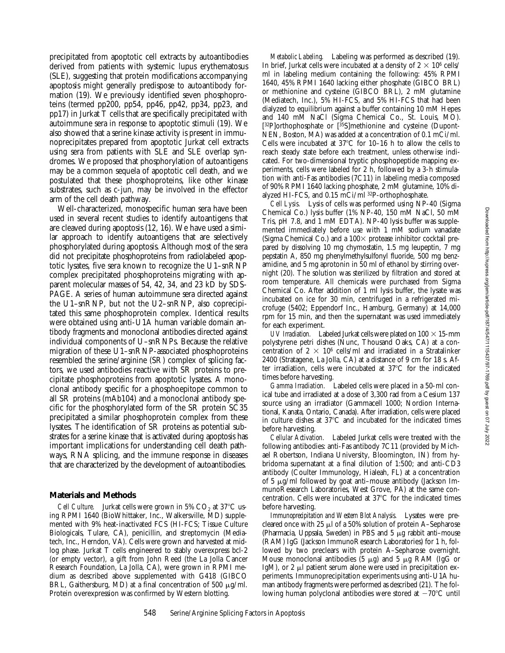precipitated from apoptotic cell extracts by autoantibodies derived from patients with systemic lupus erythematosus (SLE), suggesting that protein modifications accompanying apoptosis might generally predispose to autoantibody formation (19). We previously identified seven phosphoproteins (termed pp200, pp54, pp46, pp42, pp34, pp23, and pp17) in Jurkat T cells that are specifically precipitated with autoimmune sera in response to apoptotic stimuli (19). We also showed that a serine kinase activity is present in immunoprecipitates prepared from apoptotic Jurkat cell extracts using sera from patients with SLE and SLE overlap syndromes. We proposed that phosphorylation of autoantigens may be a common sequela of apoptotic cell death, and we postulated that these phosphoproteins, like other kinase substrates, such as c-jun, may be involved in the effector arm of the cell death pathway.

Well-characterized, monospecific human sera have been used in several recent studies to identify autoantigens that are cleaved during apoptosis (12, 16). We have used a similar approach to identify autoantigens that are selectively phosphorylated during apoptosis. Although most of the sera did not precipitate phosphoproteins from radiolabeled apoptotic lysates, five sera known to recognize the U1–snRNP complex precipitated phosphoproteins migrating with apparent molecular masses of 54, 42, 34, and 23 kD by SDS-PAGE. A series of human autoimmune sera directed against the U1–snRNP, but not the U2–snRNP, also coprecipitated this same phosphoprotein complex. Identical results were obtained using anti-U1A human variable domain antibody fragments and monoclonal antibodies directed against individual components of U–snRNPs. Because the relative migration of these U1–snRNP-associated phosphoproteins resembled the serine/arginine (SR) complex of splicing factors, we used antibodies reactive with SR proteins to precipitate phosphoproteins from apoptotic lysates. A monoclonal antibody specific for a phosphoepitope common to all SR proteins (mAb104) and a monoclonal antibody specific for the phosphorylated form of the SR protein SC35 precipitated a similar phosphoprotein complex from these lysates. The identification of SR proteins as potential substrates for a serine kinase that is activated during apoptosis has important implications for understanding cell death pathways, RNA splicing, and the immune response in diseases that are characterized by the development of autoantibodies.

#### **Materials and Methods**

*Cell Culture.* Jurkat cells were grown in 5%  $CO<sub>2</sub>$  at 37 $^{\circ}$ C using RPMI 1640 (BioWhittaker, Inc., Walkersville, MD) supplemented with 9% heat-inactivated FCS (HI-FCS; Tissue Culture Biologicals, Tulare, CA), penicillin, and streptomycin (Mediatech, Inc., Herndon, VA). Cells were grown and harvested at midlog phase. Jurkat T cells engineered to stably overexpress bcl-2 (or empty vector), a gift from John Reed (the La Jolla Cancer Research Foundation, La Jolla, CA), were grown in RPMI medium as described above supplemented with G418 (GIBCO BRL, Gaithersburg, MD) at a final concentration of 500  $\mu$ g/ml. Protein overexpression was confirmed by Western blotting.

*Metabolic Labeling.* Labeling was performed as described (19). In brief, Jurkat cells were incubated at a density of  $2 \times 10^6$  cells/ ml in labeling medium containing the following: 45% RPMI 1640, 45% RPMI 1640 lacking either phosphate (GIBCO BRL) or methionine and cysteine (GIBCO BRL), 2 mM glutamine (Mediatech, Inc.), 5% HI-FCS, and 5% HI-FCS that had been dialyzed to equilibrium against a buffer containing 10 mM Hepes and 140 mM NaCl (Sigma Chemical Co., St. Louis, MO). [32P]orthophosphate or [35S]methionine and cysteine (Dupont-NEN, Boston, MA) was added at a concentration of 0.1 mCi/ml. Cells were incubated at  $37^{\circ}$ C for 10–16 h to allow the cells to reach steady state before each treatment, unless otherwise indicated. For two-dimensional tryptic phosphopeptide mapping experiments, cells were labeled for 2 h, followed by a 3-h stimulation with anti-Fas antibodies (7C11) in labeling media composed of 90% RPMI 1640 lacking phosphate, 2 mM glutamine, 10% dialyzed HI-FCS, and 0.15 mCi/ml 32P-orthophosphate.

*Cell Lysis.* Lysis of cells was performed using NP-40 (Sigma Chemical Co.) lysis buffer (1% NP-40, 150 mM NaCl, 50 mM Tris, pH 7.8, and 1 mM EDTA). NP-40 lysis buffer was supplemented immediately before use with 1 mM sodium vanadate (Sigma Chemical Co.) and a  $100\times$  protease inhibitor cocktail prepared by dissolving 10 mg chymostatin, 1.5 mg leupeptin, 7 mg pepstatin A, 850 mg phenylmethylsulfonyl fluoride, 500 mg benzamidine, and 5 mg aprotonin in 50 ml of ethanol by stirring overnight (20). The solution was sterilized by filtration and stored at room temperature. All chemicals were purchased from Sigma Chemical Co. After addition of 1 ml lysis buffer, the lysate was incubated on ice for 30 min, centrifuged in a refrigerated microfuge (5402; Eppendorf Inc., Hamburg, Germany) at 14,000 rpm for 15 min, and then the supernatant was used immediately for each experiment.

*UV Irradiation.* Labeled Jurkat cells were plated on  $100 \times 15$ -mm polystyrene petri dishes (Nunc, Thousand Oaks, CA) at a concentration of 2  $\times$  10<sup>6</sup> cells/ml and irradiated in a Stratalinker 2400 (Stratagene, La Jolla, CA) at a distance of 9 cm for 18 s. After irradiation, cells were incubated at  $37^{\circ}$ C for the indicated times before harvesting.

*Gamma Irradiation.* Labeled cells were placed in a 50-ml conical tube and irradiated at a dose of 3,300 rad from a Cesium 137 source using an irradiator (Gammacell 1000; Nordion International, Kanata, Ontario, Canada). After irradiation, cells were placed in culture dishes at  $37^{\circ}$ C and incubated for the indicated times before harvesting.

*Cellular Activation.* Labeled Jurkat cells were treated with the following antibodies: anti-Fas antibody 7C11 (provided by Michael Robertson, Indiana University, Bloomington, IN) from hybridoma supernatant at a final dilution of 1:500; and anti-CD3 antibody (Coulter Immunology, Hialeah, FL) at a concentration of 5  $\mu$ g/ml followed by goat anti-mouse antibody (Jackson ImmunoResearch Laboratories, West Grove, PA) at the same concentration. Cells were incubated at  $37^{\circ}$ C for the indicated times before harvesting.

*Immunoprecipitation and Western Blot Analysis.* Lysates were precleared once with  $25 \mu$  of a 50% solution of protein A–Sepharose (Pharmacia, Uppsala, Sweden) in PBS and  $5 \mu$ g rabbit anti-mouse (RAM) IgG (Jackson ImmunoResearch Laboratories) for 1 h, followed by two preclears with protein A–Sepharose overnight. Mouse monoclonal antibodies  $(5 \mu g)$  and  $5 \mu g$  RAM (IgG or IgM), or 2  $\mu$ l patient serum alone were used in precipitation experiments. Immunoprecipitation experiments using anti-U1A human antibody fragments were performed as described (21). The following human polyclonal antibodies were stored at  $-70^{\circ}$ C until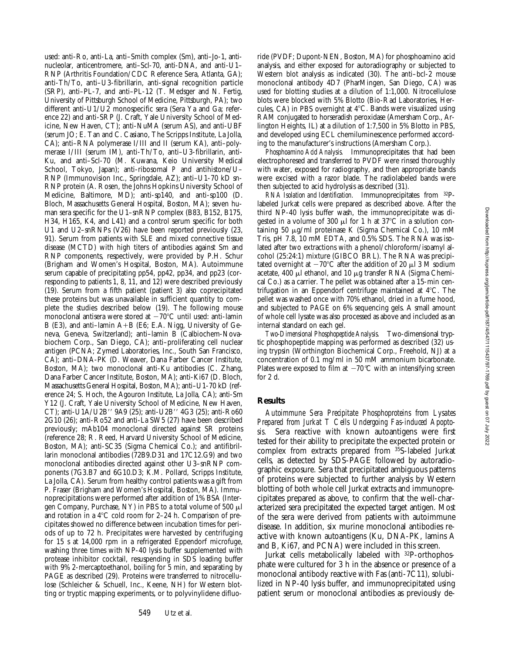used: anti-Ro, anti-La, anti–Smith complex (Sm), anti–Jo-1, antinucleolar, anticentromere, anti–Scl-70, anti-DNA, and anti-U1– RNP (Arthritis Foundation/CDC Reference Sera, Atlanta, GA); anti-Th/To, anti–U3-fibrillarin, anti-signal recognition particle (SRP), anti–PL-7, and anti–PL-12 (T. Medsger and N. Fertig, University of Pittsburgh School of Medicine, Pittsburgh, PA); two different anti-U1/U2 monospecific sera (Sera Ya and Ga; reference 22) and anti-SRP (J. Craft, Yale University School of Medicine, New Haven, CT); anti-NuMA (serum AS), and anti-UBF (serum JO; E. Tan and C. Casiano, The Scripps Institute, La Jolla, CA); anti–RNA polymerase I/III and II (serum KA), anti–polymerase I/III (serum IM), anti-Th/To, anti–U3-fibrillarin, anti-Ku, and anti–Scl-70 (M. Kuwana, Keio University Medical School, Tokyo, Japan); anti-ribosomal *P* and antihistone/U– RNP (Immunovision Inc., Springdale, AZ); anti–U1-70 kD sn-RNP protein (A. Rosen, the Johns Hopkins University School of Medicine, Baltimore, MD); anti-sp140, and anti-sp100 (D. Bloch, Massachusetts General Hospital, Boston, MA); seven human sera specific for the U1–snRNP complex (B83, B152, B175, H34, H165, K4, and L41) and a control serum specific for both U1 and U2–snRNPs (V26) have been reported previously (23, 91). Serum from patients with SLE and mixed connective tissue disease (MCTD) with high titers of antibodies against Sm and RNP components, respectively, were provided by P.H. Schur (Brigham and Women's Hospital, Boston, MA). Autoimmune serum capable of precipitating pp54, pp42, pp34, and pp23 (corresponding to patients 1, 8, 11, and 12) were described previously (19). Serum from a fifth patient (patient 3) also coprecipitated these proteins but was unavailable in sufficient quantity to complete the studies described below (19). The following mouse monoclonal antisera were stored at  $-70^{\circ}$ C until used: anti-lamin B (E3), and anti-lamin  $A+B$  (E6; E.A. Nigg, University of Geneva, Geneva, Switzerland); anti–lamin B (Calbiochem-Novabiochem Corp., San Diego, CA); anti–proliferating cell nuclear antigen (PCNA; Zymed Laboratories, Inc., South San Francisco, CA); anti–DNA-PK (D. Weaver, Dana Farber Cancer Institute, Boston, MA); two monoclonal anti-Ku antibodies (C. Zhang, Dana Farber Cancer Institute, Boston, MA); anti-Ki67 (D. Bloch, Massachusetts General Hospital, Boston, MA); anti–U1-70 kD (reference 24; S. Hoch, the Agouron Institute, La Jolla, CA); anti-Sm Y12 (J. Craft, Yale University School of Medicine, New Haven, CT); anti-U1A/U2B" 9A9 (25); anti-U2B" 4G3 (25); anti-Ro60 2G10 (26); anti-Ro52 and anti-La SW5 (27) have been described previously; mAb104 monoclonal directed against SR proteins (reference 28; R. Reed, Harvard University School of Medicine, Boston, MA); anti-SC35 (Sigma Chemical Co.); and antifibrillarin monoclonal antibodies (72B9.D31 and 17C12.G9) and two monoclonal antibodies directed against other U3–snRNP components (7G3.B7 and 6G10.D3; K.M. Pollard, Scripps Institute, La Jolla, CA). Serum from healthy control patients was a gift from P. Fraser (Brigham and Women's Hospital, Boston, MA). Immunoprecipitations were performed after addition of 1% BSA (Intergen Company, Purchase, NY) in PBS to a total volume of 500 ml and rotation in a  $4^{\circ}$ C cold room for 2–24 h. Comparison of precipitates showed no difference between incubation times for periods of up to 72 h. Precipitates were harvested by centrifuging for 15 s at 14,000 rpm in a refrigerated Eppendorf microfuge, washing three times with NP-40 lysis buffer supplemented with protease inhibitor cocktail, resuspending in SDS loading buffer with 9% 2-mercaptoethanol, boiling for 5 min, and separating by PAGE as described (29). Proteins were transferred to nitrocellulose (Schleicher & Schuell, Inc., Keene, NH) for Western blotting or tryptic mapping experiments, or to polyvinylidene difluo-

RAM conjugated to horseradish peroxidase (Amersham Corp., Arlington Heights, IL) at a dilution of 1:7,500 in 5% Blotto in PBS, and developed using ECL chemiluminescence performed according to the manufacturer's instructions (Amersham Corp.). *Phosphoamino Acid Analysis.* Immunoprecipitates that had been electrophoresed and transferred to PVDF were rinsed thoroughly with water, exposed for radiography, and then appropriate bands were excised with a razor blade. The radiolabeled bands were then subjected to acid hydrolysis as described (31). *RNA Isolation and Identification.* Immunoprecipitates from 32P-

labeled Jurkat cells were prepared as described above. After the third NP-40 lysis buffer wash, the immunoprecipitate was digested in a volume of 300  $\mu$ l for 1 h at 37°C in a solution containing 50 mg/ml proteinase K (Sigma Chemical Co.), 10 mM Tris, pH 7.8, 10 mM EDTA, and 0.5% SDS. The RNA was isolated after two extractions with a phenol/chloroform/isoamyl alcohol (25:24:1) mixture (GIBCO BRL). The RNA was precipitated overnight at  $-70^{\circ}$ C after the addition of 20  $\mu$ l 3 M sodium acetate, 400  $\mu$ l ethanol, and 10  $\mu$ g transfer RNA (Sigma Chemical Co.) as a carrier. The pellet was obtained after a 15-min centrifugation in an Eppendorf centrifuge maintained at  $4^{\circ}$ C. The pellet was washed once with 70% ethanol, dried in a fume hood, and subjected to PAGE on 6% sequencing gels. A small amount of whole cell lysate was also processed as above and included as an internal standard on each gel.

ride (PVDF; Dupont-NEN, Boston, MA) for phosphoamino acid analysis, and either exposed for autoradiography or subjected to Western blot analysis as indicated (30). The anti–bcl-2 mouse monoclonal antibody 4D7 (PharMingen, San Diego, CA) was used for blotting studies at a dilution of 1:1,000. Nitrocellulose blots were blocked with 5% Blotto (Bio-Rad Laboratories, Hercules, CA) in PBS overnight at  $4^{\circ}$ C. Bands were visualized using

*Two-Dimensional Phosphopeptide Analysis.* Two-dimensional tryptic phosphopeptide mapping was performed as described (32) using trypsin (Worthington Biochemical Corp., Freehold, NJ) at a concentration of 0.1 mg/ml in 50 mM ammonium bicarbonate. Plates were exposed to film at  $-70\degree C$  with an intensifying screen for 2 d.

### **Results**

*Autoimmune Sera Precipitate Phosphoproteins from Lysates Prepared from Jurkat T Cells Undergoing Fas-induced Apoptosis.* Sera reactive with known autoantigens were first tested for their ability to precipitate the expected protein or complex from extracts prepared from 35S-labeled Jurkat cells, as detected by SDS-PAGE followed by autoradiographic exposure. Sera that precipitated ambiguous patterns of proteins were subjected to further analysis by Western blotting of both whole cell Jurkat extracts and immunoprecipitates prepared as above, to confirm that the well-characterized sera precipitated the expected target antigen. Most of the sera were derived from patients with autoimmune disease. In addition, six murine monoclonal antibodies reactive with known autoantigens (Ku, DNA-PK, lamins A and B, Ki67, and PCNA) were included in this screen.

Jurkat cells metabolically labeled with 32P-orthophosphate were cultured for 3 h in the absence or presence of a monoclonal antibody reactive with Fas (anti-7C11), solubilized in NP-40 lysis buffer, and immunoprecipitated using patient serum or monoclonal antibodies as previously de-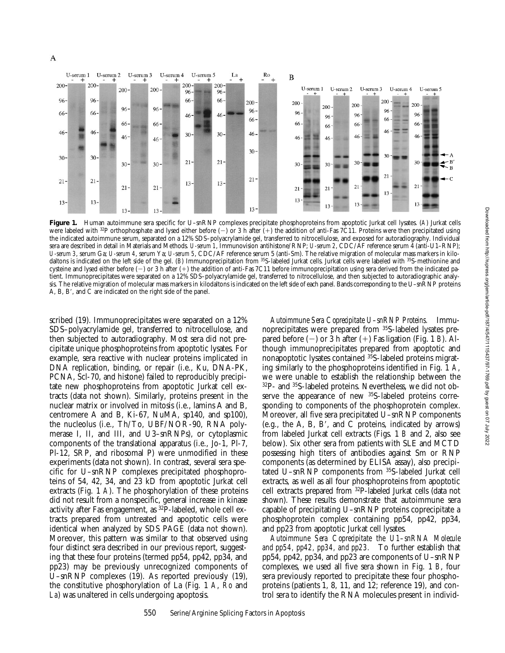

Figure 1. Human autoimmune sera specific for U-snRNP complexes precipitate phosphoproteins from apoptotic Jurkat cell lysates. (A) Jurkat cells were labeled with <sup>32</sup>P orthophosphate and lysed either before (-) or 3 h after (+) the addition of anti-Fas 7C11. Proteins were then precipitated using the indicated autoimmune serum, separated on a 12% SDS–polyacrylamide gel, transferred to nitrocellulose, and exposed for autoradiography. Individual sera are described in detail in Materials and Methods. *U-serum 1*, Immunovision antihistone/RNP; *U-serum 2*, CDC/AF reference serum 4 (anti-U1–RNP); *U-serum 3*, serum Ga; *U-serum 4*, serum Ya; *U-serum 5*, CDC/AF reference serum 5 (anti-Sm). The relative migration of molecular mass markers in kilodaltons is indicated on the left side of the gel. (*B*) Immunoprecipitation from <sup>35</sup>S-labeled Jurkat cells. Jurkat cells were labeled with <sup>35</sup>S-methionine and cysteine and lysed either before  $(-)$  or 3 h after  $(+)$  the addition of anti-Fas 7C11 before immunoprecipitation using sera derived from the indicated patient. Immunoprecipitates were separated on a 12% SDS–polyacrylamide gel, transferred to nitrocellulose, and then subjected to autoradiographic analysis. The relative migration of molecular mass markers in kilodaltons is indicated on the left side of each panel. Bands corresponding to the U–snRNP proteins A, B, B', and C are indicated on the right side of the panel.

scribed (19). Immunoprecipitates were separated on a 12% SDS–polyacrylamide gel, transferred to nitrocellulose, and then subjected to autoradiography. Most sera did not precipitate unique phosphoproteins from apoptotic lysates. For example, sera reactive with nuclear proteins implicated in DNA replication, binding, or repair (i.e., Ku, DNA-PK, PCNA, Scl-70, and histone) failed to reproducibly precipitate new phosphoproteins from apoptotic Jurkat cell extracts (data not shown). Similarly, proteins present in the nuclear matrix or involved in mitosis (i.e., lamins A and B, centromere A and B, Ki-67, NuMA, sp140, and sp100), the nucleolus (i.e., Th/To, UBF/NOR-90, RNA polymerase I, II, and III, and U3–snRNPs), or cytoplasmic components of the translational apparatus (i.e., Jo-1, Pl-7, Pl-12, SRP, and ribosomal P) were unmodified in these experiments (data not shown). In contrast, several sera specific for U–snRNP complexes precipitated phosphoproteins of 54, 42, 34, and 23 kD from apoptotic Jurkat cell extracts (Fig. 1 *A*). The phosphorylation of these proteins did not result from a nonspecific, general increase in kinase activity after Fas engagement, as 32P-labeled, whole cell extracts prepared from untreated and apoptotic cells were identical when analyzed by SDS PAGE (data not shown). Moreover, this pattern was similar to that observed using four distinct sera described in our previous report, suggesting that these four proteins (termed pp54, pp42, pp34, and pp23) may be previously unrecognized components of U–snRNP complexes (19). As reported previously (19), the constitutive phosphorylation of La (Fig. 1 *A*, *Ro* and *La*) was unaltered in cells undergoing apoptosis.

*Autoimmune Sera Coprecipitate U–snRNP Proteins.* Immunoprecipitates were prepared from 35S-labeled lysates prepared before  $(-)$  or  $\overline{3}$  h after  $(+)$  Fas ligation (Fig. 1 *B*). Although immunoprecipitates prepared from apoptotic and nonapoptotic lysates contained 35S-labeled proteins migrating similarly to the phosphoproteins identified in Fig. 1 *A*, we were unable to establish the relationship between the 32P- and 35S-labeled proteins. Nevertheless, we did not observe the appearance of new 35S-labeled proteins corresponding to components of the phosphoprotein complex. Moreover, all five sera precipitated U–snRNP components (e.g., the A, B, B', and C proteins, indicated by arrows) from labeled Jurkat cell extracts (Figs. 1 *B* and 2, also see below). Six other sera from patients with SLE and MCTD possessing high titers of antibodies against Sm or RNP components (as determined by ELISA assay), also precipitated U–snRNP components from 35S-labeled Jurkat cell extracts, as well as all four phosphoproteins from apoptotic cell extracts prepared from 32P-labeled Jurkat cells (data not shown). These results demonstrate that autoimmune sera capable of precipitating U–snRNP proteins coprecipitate a phosphoprotein complex containing pp54, pp42, pp34, and pp23 from apoptotic Jurkat cell lysates.

*Autoimmune Sera Coprecipitate the U1–snRNA Molecule and pp54, pp42, pp34, and pp23.* To further establish that pp54, pp42, pp34, and pp23 are components of U–snRNP complexes, we used all five sera shown in Fig. 1 *B*, four sera previously reported to precipitate these four phosphoproteins (patients 1, 8, 11, and 12; reference 19), and control sera to identify the RNA molecules present in individ-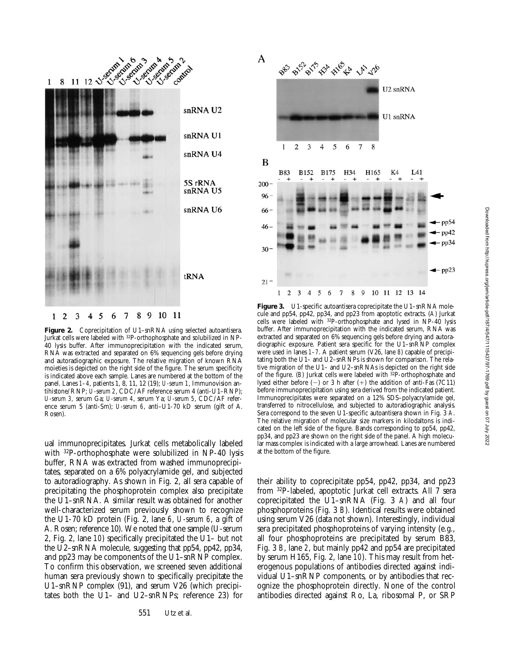

Figure 2. Coprecipitation of U1-snRNA using selected autoantisera. Jurkat cells were labeled with 32P-orthophosphate and solubilized in NP-40 lysis buffer. After immunoprecipitation with the indicated serum, RNA was extracted and separated on 6% sequencing gels before drying and autoradiographic exposure. The relative migration of known RNA moieties is depicted on the right side of the figure. The serum specificity is indicated above each sample. Lanes are numbered at the bottom of the panel. Lanes *1–4*, patients 1, 8, 11, 12 (19); *U-serum 1*, Immunovision antihistone/RNP; *U-serum 2*, CDC/AF reference serum 4 (anti-U1–RNP); *U-serum 3,* serum Ga; *U-serum 4*, serum Ya; *U-serum 5*, CDC/AF reference serum 5 (anti-Sm); *U-serum 6*, anti–U1-70 kD serum (gift of A. Rosen).

ual immunoprecipitates. Jurkat cells metabolically labeled with 32P-orthophosphate were solubilized in NP-40 lysis buffer, RNA was extracted from washed immunoprecipitates, separated on a 6% polyacrylamide gel, and subjected to autoradiography. As shown in Fig. 2, all sera capable of precipitating the phosphoprotein complex also precipitate the U1–snRNA. A similar result was obtained for another well-characterized serum previously shown to recognize the U1-70 kD protein (Fig. 2, lane *6*, *U-serum 6*, a gift of A. Rosen; reference 10). We noted that one sample (U-serum 2, Fig. 2, lane *10*) specifically precipitated the U1– but not the U2–snRNA molecule, suggesting that pp54, pp42, pp34, and pp23 may be components of the U1–snRNP complex. To confirm this observation, we screened seven additional human sera previously shown to specifically precipitate the U1–snRNP complex (91), and serum V26 (which precipitates both the U1– and U2–snRNPs; reference 23) for



Figure 3. U1-specific autoantisera coprecipitate the U1-snRNA molecule and pp54, pp42, pp34, and pp23 from apoptotic extracts. (*A*) Jurkat cells were labeled with 32P-orthophosphate and lysed in NP-40 lysis buffer. After immunoprecipitation with the indicated serum, RNA was extracted and separated on 6% sequencing gels before drying and autoradiographic exposure. Patient sera specific for the U1–snRNP complex were used in lanes *1–7*. A patient serum (V26, lane *8*) capable of precipitating both the U1– and U2–snRNPs is shown for comparison. The relative migration of the U1– and U2–snRNAs is depicted on the right side of the figure. (*B*) Jurkat cells were labeled with 32P-orthophosphate and lysed either before  $(-)$  or 3 h after  $(+)$  the addition of anti-Fas (7C11) before immunoprecipitation using sera derived from the indicated patient. Immunoprecipitates were separated on a 12% SDS–polyacrylamide gel, transferred to nitrocellulose, and subjected to autoradiographic analysis. Sera correspond to the seven U1-specific autoantisera shown in Fig. 3 *A*. The relative migration of molecular size markers in kilodaltons is indicated on the left side of the figure. Bands corresponding to pp54, pp42, pp34, and pp23 are shown on the right side of the panel. A high molecular mass complex is indicated with a large arrowhead. Lanes are numbered at the bottom of the figure.

their ability to coprecipitate pp54, pp42, pp34, and pp23 from 32P-labeled, apoptotic Jurkat cell extracts. All 7 sera coprecipitated the U1–snRNA (Fig. 3 *A*) and all four phosphoproteins (Fig. 3 *B*). Identical results were obtained using serum V26 (data not shown). Interestingly, individual sera precipitated phosphoproteins of varying intensity (e.g., all four phosphoproteins are precipitated by serum B83, Fig. 3 *B*, lane *2*, but mainly pp42 and pp54 are precipitated by serum H165, Fig. 2, lane *10*). This may result from heterogenous populations of antibodies directed against individual U1–snRNP components, or by antibodies that recognize the phosphoprotein directly. None of the control antibodies directed against Ro, La, ribosomal P, or SRP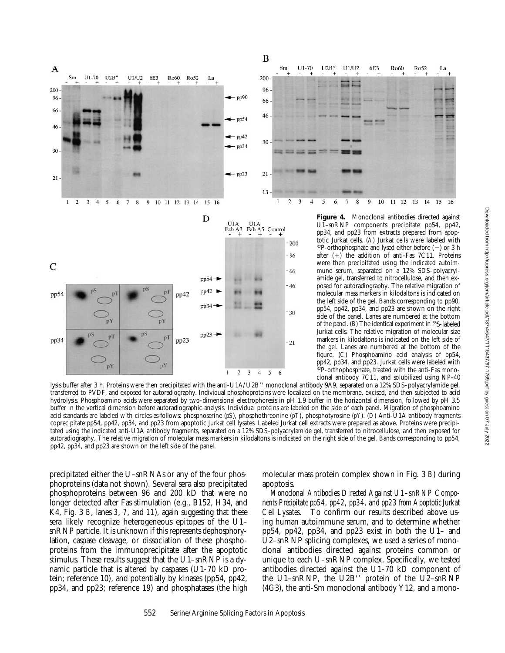



Figure 4. Monoclonal antibodies directed against U1–snRNP components precipitate pp54, pp42, pp34, and pp23 from extracts prepared from apoptotic Jurkat cells. (*A*) Jurkat cells were labeled with  $32P$ -orthophosphate and lysed either before  $(-)$  or 3 h after  $(+)$  the addition of anti-Fas 7C11. Proteins were then precipitated using the indicated autoimmune serum, separated on a 12% SDS–polyacrylamide gel, transferred to nitrocellulose, and then exposed for autoradiography. The relative migration of molecular mass markers in kilodaltons is indicated on the left side of the gel. Bands corresponding to pp90, pp54, pp42, pp34, and pp23 are shown on the right side of the panel. Lanes are numbered at the bottom of the panel. (*B*) The identical experiment in 35S-labeled Jurkat cells. The relative migration of molecular size markers in kilodaltons is indicated on the left side of the gel. Lanes are numbered at the bottom of the figure. (*C*) Phosphoamino acid analysis of pp54, pp42, pp34, and pp23. Jurkat cells were labeled with 32P-orthophosphate, treated with the anti-Fas monoclonal antibody 7C11, and solubilized using NP-40

lysis buffer after 3 h. Proteins were then precipitated with the anti-U1A/U2B" monoclonal antibody 9A9, separated on a 12% SDS-polyacrylamide gel, transferred to PVDF, and exposed for autoradiography. Individual phosphoproteins were localized on the membrane, excised, and then subjected to acid hydrolysis. Phosphoamino acids were separated by two-dimensional electrophoresis in pH 1.9 buffer in the horizontal dimension, followed by pH 3.5 buffer in the vertical dimension before autoradiographic analysis. Individual proteins are labeled on the side of each panel. Migration of phosphoamino acid standards are labeled with circles as follows: phosphoserine (*pS*), phosphothreonine (*pT*), phosphotyrosine (*pY*). (*D*) Anti-U1A antibody fragments coprecipitate pp54, pp42, pp34, and pp23 from apoptotic Jurkat cell lysates. Labeled Jurkat cell extracts were prepared as above. Proteins were precipitated using the indicated anti-U1A antibody fragments, separated on a 12% SDS–polyacrylamide gel, transferred to nitrocellulose, and then exposed for autoradiography. The relative migration of molecular mass markers in kilodaltons is indicated on the right side of the gel. Bands corresponding to pp54, pp42, pp34, and pp23 are shown on the left side of the panel.

precipitated either the U–snRNAs or any of the four phosphoproteins (data not shown). Several sera also precipitated phosphoproteins between 96 and 200 kD that were no longer detected after Fas stimulation (e.g., B152, H34, and K4, Fig. 3 *B*, lanes *3*, *7*, and *11*), again suggesting that these sera likely recognize heterogeneous epitopes of the U1– snRNP particle. It is unknown if this represents dephosphorylation, caspase cleavage, or dissociation of these phosphoproteins from the immunoprecipitate after the apoptotic stimulus. These results suggest that the U1–snRNP is a dynamic particle that is altered by caspases (U1-70 kD protein; reference 10), and potentially by kinases (pp54, pp42, pp34, and pp23; reference 19) and phosphatases (the high molecular mass protein complex shown in Fig. 3 *B*) during apoptosis.

*Monoclonal Antibodies Directed Against U1–snRNP Components Precipitate pp54, pp42, pp34, and pp23 from Apoptotic Jurkat Cell Lysates.* To confirm our results described above using human autoimmune serum, and to determine whether pp54, pp42, pp34, and pp23 exist in both the U1– and U2–snRNP splicing complexes, we used a series of monoclonal antibodies directed against proteins common or unique to each U–snRNP complex. Specifically, we tested antibodies directed against the U1-70 kD component of the U1-snRNP, the U2B" protein of the U2-snRNP (4G3), the anti-Sm monoclonal antibody Y12, and a mono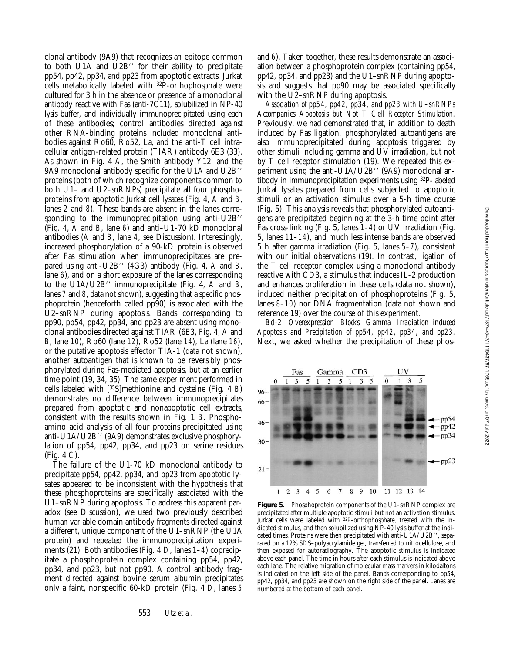clonal antibody (9A9) that recognizes an epitope common to both U1A and U2B" for their ability to precipitate pp54, pp42, pp34, and pp23 from apoptotic extracts. Jurkat cells metabolically labeled with 32P-orthophosphate were cultured for 3 h in the absence or presence of a monoclonal antibody reactive with Fas (anti-7C11), solubilized in NP-40 lysis buffer, and individually immunoprecipitated using each of these antibodies; control antibodies directed against other RNA-binding proteins included monoclonal antibodies against Ro60, Ro52, La, and the anti-T cell intracellular antigen-related protein (TIAR) antibody 6E3 (33). As shown in Fig. 4 *A*, the Smith antibody Y12, and the 9A9 monoclonal antibody specific for the U1A and U2B" proteins (both of which recognize components common to both U1– and U2–snRNPs) precipitate all four phosphoproteins from apoptotic Jurkat cell lysates (Fig. 4, *A* and *B*, lanes *2* and *8*). These bands are absent in the lanes corresponding to the immunoprecipitation using anti-U2B" (Fig. 4, *A* and *B*, lane *6*) and anti–U1-70 kD monoclonal antibodies (*A* and *B*, lane *4*, see Discussion). Interestingly, increased phosphorylation of a 90-kD protein is observed after Fas stimulation when immunoprecipitates are prepared using anti-U2B'' (4G3) antibody (Fig. 4, *A* and *B*, lane *6*), and on a short exposure of the lanes corresponding to the U1A/U2B $^{\prime\prime}$  immunoprecipitate (Fig. 4,  $\dot{A}$  and  $\dot{B}$ , lanes *7* and *8*, data not shown), suggesting that a specific phosphoprotein (henceforth called pp90) is associated with the U2–snRNP during apoptosis. Bands corresponding to pp90, pp54, pp42, pp34, and pp23 are absent using monoclonal antibodies directed against TIAR (6E3, Fig. 4, *A* and *B*, lane *10*), Ro60 (lane *12*), Ro52 (lane *14*), La (lane *16*), or the putative apoptosis effector TIA-1 (data not shown), another autoantigen that is known to be reversibly phosphorylated during Fas-mediated apoptosis, but at an earlier time point (19, 34, 35). The same experiment performed in cells labeled with [35S]methionine and cysteine (Fig. 4 *B*) demonstrates no difference between immunoprecipitates prepared from apoptotic and nonapoptotic cell extracts, consistent with the results shown in Fig. 1 *B*. Phosphoamino acid analysis of all four proteins precipitated using anti-U1A/U2B'' (9A9) demonstrates exclusive phosphorylation of pp54, pp42, pp34, and pp23 on serine residues (Fig. 4 *C*).

The failure of the U1-70 kD monoclonal antibody to precipitate pp54, pp42, pp34, and pp23 from apoptotic lysates appeared to be inconsistent with the hypothesis that these phosphoproteins are specifically associated with the U1–snRNP during apoptosis. To address this apparent paradox (see Discussion), we used two previously described human variable domain antibody fragments directed against a different, unique component of the U1–snRNP (the U1A protein) and repeated the immunoprecipitation experiments (21). Both antibodies (Fig. 4 *D*, lanes *1–4*) coprecipitate a phosphoprotein complex containing pp54, pp42, pp34, and pp23, but not pp90. A control antibody fragment directed against bovine serum albumin precipitates only a faint, nonspecific 60-kD protein (Fig. 4 *D*, lanes *5* and *6*). Taken together, these results demonstrate an association between a phosphoprotein complex (containing pp54, pp42, pp34, and pp23) and the U1–snRNP during apoptosis and suggests that pp90 may be associated specifically with the U2-snRNP during apoptosis.

*Association of pp54, pp42, pp34, and pp23 with U–snRNPs Accompanies Apoptosis but Not T Cell Receptor Stimulation.* Previously, we had demonstrated that, in addition to death induced by Fas ligation, phosphorylated autoantigens are also immunoprecipitated during apoptosis triggered by other stimuli including gamma and UV irradiation, but not by T cell receptor stimulation (19). We repeated this experiment using the anti-U1A/U2B" (9A9) monoclonal antibody in immunoprecipitation experiments using 32P-labeled Jurkat lysates prepared from cells subjected to apoptotic stimuli or an activation stimulus over a 5-h time course (Fig. 5). This analysis reveals that phosphorylated autoantigens are precipitated beginning at the 3-h time point after Fas cross-linking (Fig. 5, lanes *1–4*) or UV irradiation (Fig. 5, lanes *11–14*), and much less intense bands are observed 5 h after gamma irradiation (Fig. 5, lanes *5–7*), consistent with our initial observations (19). In contrast, ligation of the T cell receptor complex using a monoclonal antibody reactive with CD3, a stimulus that induces IL-2 production and enhances proliferation in these cells (data not shown), induced neither precipitation of phosphoproteins (Fig. 5, lanes *8–10*) nor DNA fragmentation (data not shown and reference 19) over the course of this experiment.

*Bcl-2 Overexpression Blocks Gamma Irradiation–induced Apoptosis and Precipitation of pp54, pp42, pp34, and pp23.* Next, we asked whether the precipitation of these phos-



**Figure 5.** Phosphoprotein components of the U1–snRNP complex are precipitated after multiple apoptotic stimuli but not an activation stimulus. Jurkat cells were labeled with 32P-orthophosphate, treated with the indicated stimulus, and then solubilized using NP-40 lysis buffer at the indicated times. Proteins were then precipitated with anti-U1A/U2B", separated on a 12% SDS–polyacrylamide gel, transferred to nitrocellulose, and then exposed for autoradiography. The apoptotic stimulus is indicated above each panel. The time in hours after each stimulus is indicated above each lane. The relative migration of molecular mass markers in kilodaltons is indicated on the left side of the panel. Bands corresponding to pp54, pp42, pp34, and pp23 are shown on the right side of the panel. Lanes are numbered at the bottom of each panel.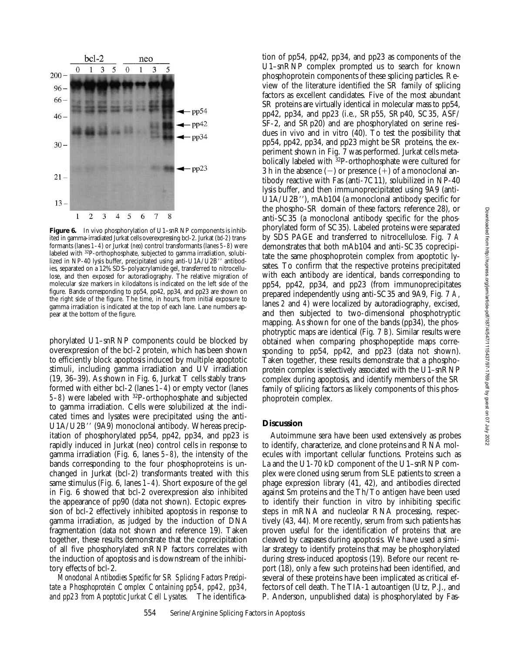

Figure 6. In vivo phosphorylation of U1-snRNP components is inhibited in gamma-irradiated Jurkat cells overexpressing bcl-2. Jurkat (*bcl-2*) transformants (lanes *1–4*) or Jurkat (*neo*) control transformants (lanes *5–8*) were labeled with 32P-orthophosphate, subjected to gamma irradiation, solubilized in NP-40 lysis buffer, precipitated using anti-U1A/U2B" antibodies, separated on a 12% SDS–polyacrylamide gel, transferred to nitrocellulose, and then exposed for autoradiography. The relative migration of molecular size markers in kilodaltons is indicated on the left side of the figure. Bands corresponding to pp54, pp42, pp34, and pp23 are shown on the right side of the figure. The time, in hours, from initial exposure to gamma irradiation is indicated at the top of each lane. Lane numbers appear at the bottom of the figure.

phorylated U1–snRNP components could be blocked by overexpression of the bcl-2 protein, which has been shown to efficiently block apoptosis induced by multiple apoptotic stimuli, including gamma irradiation and UV irradiation (19, 36–39). As shown in Fig. 6, Jurkat T cells stably transformed with either bcl-2 (lanes *1–4*) or empty vector (lanes *5–8*) were labeled with 32P-orthophosphate and subjected to gamma irradiation. Cells were solubilized at the indicated times and lysates were precipitated using the anti-U1A/U2B'' (9A9) monoclonal antibody. Whereas precipitation of phosphorylated pp54, pp42, pp34, and pp23 is rapidly induced in Jurkat (neo) control cells in response to gamma irradiation (Fig. 6, lanes *5–8*), the intensity of the bands corresponding to the four phosphoproteins is unchanged in Jurkat (bcl-2) transformants treated with this same stimulus (Fig. 6, lanes *1–4*). Short exposure of the gel in Fig. 6 showed that bcl-2 overexpression also inhibited the appearance of pp90 (data not shown). Ectopic expression of bcl-2 effectively inhibited apoptosis in response to gamma irradiation, as judged by the induction of DNA fragmentation (data not shown and reference 19). Taken together, these results demonstrate that the coprecipitation of all five phosphorylated snRNP factors correlates with the induction of apoptosis and is downstream of the inhibitory effects of bcl-2.

*Monoclonal Antibodies Specific for SR Splicing Factors Precipitate a Phosphoprotein Complex Containing pp54, pp42, pp34, and pp23 from Apoptotic Jurkat Cell Lysates.* The identification of pp54, pp42, pp34, and pp23 as components of the U1–snRNP complex prompted us to search for known phosphoprotein components of these splicing particles. Review of the literature identified the SR family of splicing factors as excellent candidates. Five of the most abundant SR proteins are virtually identical in molecular mass to pp54, pp42, pp34, and pp23 (i.e., SRp55, SRp40, SC35, ASF/ SF-2, and SRp20) and are phosphorylated on serine residues in vivo and in vitro (40). To test the possibility that pp54, pp42, pp34, and pp23 might be SR proteins, the experiment shown in Fig. 7 was performed. Jurkat cells metabolically labeled with 32P-orthophosphate were cultured for 3 h in the absence  $(-)$  or presence  $(+)$  of a monoclonal antibody reactive with Fas (anti-7C11), solubilized in NP-40 lysis buffer, and then immunoprecipitated using 9A9 (anti- $U1A/U2B'$ ), mAb104 (a monoclonal antibody specific for the phospho-SR domain of these factors; reference 28), or anti-SC35 (a monoclonal antibody specific for the phosphorylated form of SC35). Labeled proteins were separated by SDS PAGE and transferred to nitrocellulose. Fig. 7 *A* demonstrates that both mAb104 and anti-SC35 coprecipitate the same phosphoprotein complex from apoptotic lysates. To confirm that the respective proteins precipitated with each antibody are identical, bands corresponding to pp54, pp42, pp34, and pp23 (from immunoprecipitates prepared independently using anti-SC35 and 9A9, Fig. 7 *A*, lanes *2* and *4*) were localized by autoradiography, excised, and then subjected to two-dimensional phosphotryptic mapping. As shown for one of the bands (pp34), the phosphotryptic maps are identical (Fig. 7 *B*). Similar results were obtained when comparing phosphopeptide maps corresponding to pp54, pp42, and pp23 (data not shown). Taken together, these results demonstrate that a phosphoprotein complex is selectively associated with the U1–snRNP complex during apoptosis, and identify members of the SR family of splicing factors as likely components of this phosphoprotein complex.

### **Discussion**

Autoimmune sera have been used extensively as probes to identify, characterize, and clone proteins and RNA molecules with important cellular functions. Proteins such as La and the U1-70 kD component of the U1–snRNP complex were cloned using serum from SLE patients to screen a phage expression library (41, 42), and antibodies directed against Sm proteins and the Th/To antigen have been used to identify their function in vitro by inhibiting specific steps in mRNA and nucleolar RNA processing, respectively (43, 44). More recently, serum from such patients has proven useful for the identification of proteins that are cleaved by caspases during apoptosis. We have used a similar strategy to identify proteins that may be phosphorylated during stress-induced apoptosis (19). Before our recent report (18), only a few such proteins had been identified, and several of these proteins have been implicated as critical effectors of cell death. The TIA-1 autoantigen (Utz, P.J., and P. Anderson, unpublished data) is phosphorylated by Fas-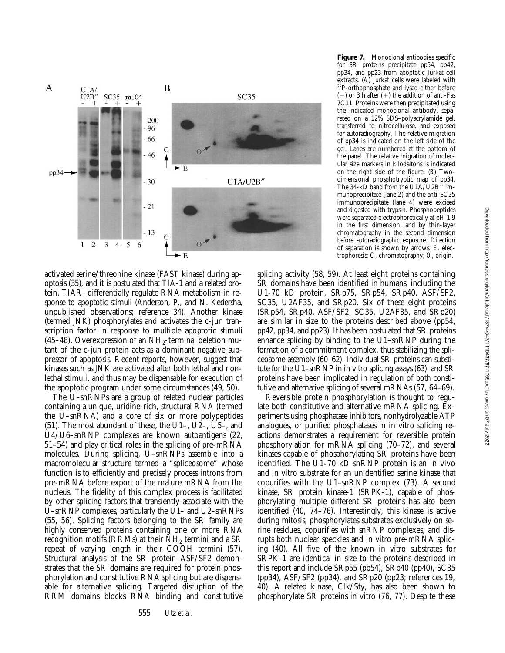

activated serine/threonine kinase (FAST kinase) during apoptosis (35), and it is postulated that TIA-1 and a related protein, TIAR, differentially regulate RNA metabolism in response to apoptotic stimuli (Anderson, P., and N. Kedersha, unpublished observations; reference 34). Another kinase (termed JNK) phosphorylates and activates the c-jun transcription factor in response to multiple apoptotic stimuli (45–48). Overexpression of an  $NH<sub>2</sub>$ -terminal deletion mutant of the c-jun protein acts as a dominant negative suppressor of apoptosis. Recent reports, however, suggest that kinases such as JNK are activated after both lethal and nonlethal stimuli, and thus may be dispensable for execution of the apoptotic program under some circumstances (49, 50).

The U–snRNPs are a group of related nuclear particles containing a unique, uridine-rich, structural RNA (termed the U–snRNA) and a core of six or more polypeptides (51). The most abundant of these, the U1–, U2–, U5–, and U4/U6–snRNP complexes are known autoantigens (22, 51–54) and play critical roles in the splicing of pre-mRNA molecules. During splicing, U–snRNPs assemble into a macromolecular structure termed a "spliceosome" whose function is to efficiently and precisely process introns from pre-mRNA before export of the mature mRNA from the nucleus. The fidelity of this complex process is facilitated by other splicing factors that transiently associate with the U–snRNP complexes, particularly the U1– and U2–snRNPs (55, 56). Splicing factors belonging to the SR family are highly conserved proteins containing one or more RNA recognition motifs (RRMs) at their  $NH<sub>2</sub>$  termini and a SR repeat of varying length in their COOH termini (57). Structural analysis of the SR protein ASF/SF2 demonstrates that the SR domains are required for protein phosphorylation and constitutive RNA splicing but are dispensable for alternative splicing. Targeted disruption of the RRM domains blocks RNA binding and constitutive

**Figure 7.** Monoclonal antibodies specific for SR proteins precipitate pp54, pp42, pp34, and pp23 from apoptotic Jurkat cell extracts. (*A*) Jurkat cells were labeled with 32P-orthophosphate and lysed either before  $(-)$  or 3 h after  $(+)$  the addition of anti-Fas 7C11. Proteins were then precipitated using the indicated monoclonal antibody, separated on a 12% SDS–polyacrylamide gel, transferred to nitrocellulose, and exposed for autoradiography. The relative migration of pp34 is indicated on the left side of the gel. Lanes are numbered at the bottom of the panel. The relative migration of molecular size markers in kilodaltons is indicated on the right side of the figure. (*B*) Twodimensional phosphotryptic map of pp34. The 34-kD band from the U1A/U2B'' immunoprecipitate (lane *2*) and the anti-SC35 immunoprecipitate (lane *4*) were excised and digested with trypsin. Phosphopeptides were separated electrophoretically at pH 1.9 in the first dimension, and by thin-layer chromatography in the second dimension before autoradiographic exposure. Direction of separation is shown by arrows. *E*, electrophoresis; *C*, chromatography; *O*, origin.

splicing activity (58, 59). At least eight proteins containing SR domains have been identified in humans, including the U1-70 kD protein, SRp75, SRp54, SRp40, ASF/SF2, SC35, U2AF35, and SRp20. Six of these eight proteins (SRp54, SRp40, ASF/SF2, SC35, U2AF35, and SRp20) are similar in size to the proteins described above (pp54, pp42, pp34, and pp23). It has been postulated that SR proteins enhance splicing by binding to the U1–snRNP during the formation of a commitment complex, thus stabilizing the spliceosome assembly (60–62). Individual SR proteins can substitute for the U1–snRNP in in vitro splicing assays (63), and SR proteins have been implicated in regulation of both constitutive and alternative splicing of several mRNAs (57, 64–69).

Reversible protein phosphorylation is thought to regulate both constitutive and alternative mRNA splicing. Experiments using phosphatase inhibitors, nonhydrolyzable ATP analogues, or purified phosphatases in in vitro splicing reactions demonstrates a requirement for reversible protein phosphorylation for mRNA splicing (70–72), and several kinases capable of phosphorylating SR proteins have been identified. The U1-70 kD snRNP protein is an in vivo and in vitro substrate for an unidentified serine kinase that copurifies with the U1–snRNP complex (73). A second kinase, SR protein kinase-1 (SRPK-1), capable of phosphorylating multiple different SR proteins has also been identified (40, 74–76). Interestingly, this kinase is active during mitosis, phosphorylates substrates exclusively on serine residues, copurifies with snRNP complexes, and disrupts both nuclear speckles and in vitro pre-mRNA splicing (40). All five of the known in vitro substrates for SRPK-1 are identical in size to the proteins described in this report and include SRp55 (pp54), SRp40 (pp40), SC35 (pp34), ASF/SF2 (pp34), and SRp20 (pp23; references 19, 40). A related kinase, Clk/Sty, has also been shown to phosphorylate SR proteins in vitro (76, 77). Despite these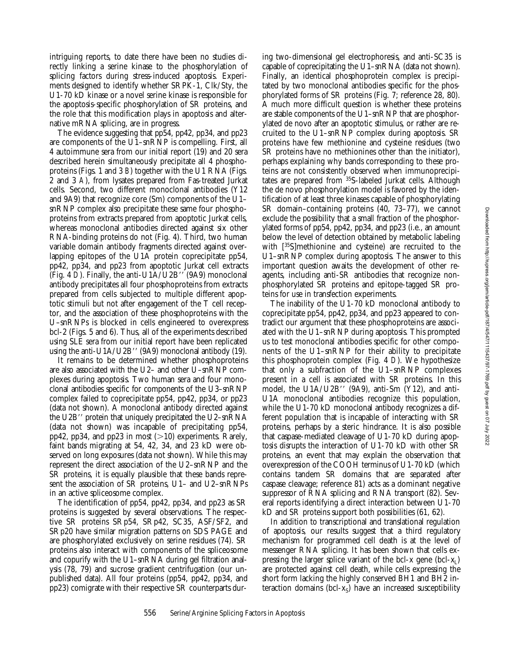intriguing reports, to date there have been no studies directly linking a serine kinase to the phosphorylation of splicing factors during stress-induced apoptosis. Experiments designed to identify whether SRPK-1, Clk/Sty, the U1-70 kD kinase or a novel serine kinase is responsible for the apoptosis-specific phosphorylation of SR proteins, and the role that this modification plays in apoptosis and alternative mRNA splicing, are in progress.

The evidence suggesting that pp54, pp42, pp34, and pp23 are components of the U1–snRNP is compelling. First, all 4 autoimmune sera from our initial report (19) and 20 sera described herein simultaneously precipitate all 4 phosphoproteins (Figs. 1 and 3 *B*) together with the U1 RNA (Figs. 2 and 3 *A*), from lysates prepared from Fas-treated Jurkat cells. Second, two different monoclonal antibodies (Y12 and 9A9) that recognize core (Sm) components of the U1– snRNP complex also precipitate these same four phosphoproteins from extracts prepared from apoptotic Jurkat cells, whereas monoclonal antibodies directed against six other RNA-binding proteins do not (Fig. 4). Third, two human variable domain antibody fragments directed against overlapping epitopes of the U1A protein coprecipitate pp54, pp42, pp34, and pp23 from apoptotic Jurkat cell extracts (Fig. 4  $D$ ). Finally, the anti-U1A/U2B $^{\prime\prime}$  (9A9) monoclonal antibody precipitates all four phosphoproteins from extracts prepared from cells subjected to multiple different apoptotic stimuli but not after engagement of the T cell receptor, and the association of these phosphoproteins with the U–snRNPs is blocked in cells engineered to overexpress bcl-2 (Figs. 5 and 6). Thus, all of the experiments described using SLE sera from our initial report have been replicated using the anti-U1A/U2B $^{\prime\prime}$  (9A9) monoclonal antibody (19).

It remains to be determined whether phosphoproteins are also associated with the U2– and other U–snRNP complexes during apoptosis. Two human sera and four monoclonal antibodies specific for components of the U3–snRNP complex failed to coprecipitate pp54, pp42, pp34, or pp23 (data not shown). A monoclonal antibody directed against the U2B $^{\prime\prime}$  protein that uniquely precipitated the U2–sn $RNA$ (data not shown) was incapable of precipitating pp54, pp42, pp34, and pp23 in most  $(>10)$  experiments. Rarely, faint bands migrating at 54, 42, 34, and 23 kD were observed on long exposures (data not shown). While this may represent the direct association of the U2–snRNP and the SR proteins, it is equally plausible that these bands represent the association of SR proteins, U1– and U2–snRNPs in an active spliceosome complex.

The identification of pp54, pp42, pp34, and pp23 as SR proteins is suggested by several observations. The respective SR proteins SRp54, SRp42, SC35, ASF/SF2, and SRp20 have similar migration patterns on SDS PAGE and are phosphorylated exclusively on serine residues (74). SR proteins also interact with components of the spliceosome and copurify with the U1–snRNA during gel filtration analysis (78, 79) and sucrose gradient centrifugation (our unpublished data). All four proteins (pp54, pp42, pp34, and pp23) comigrate with their respective SR counterparts during two-dimensional gel electrophoresis, and anti-SC35 is capable of coprecipitating the U1–snRNA (data not shown). Finally, an identical phosphoprotein complex is precipitated by two monoclonal antibodies specific for the phosphorylated forms of SR proteins (Fig. 7; reference 28, 80). A much more difficult question is whether these proteins are stable components of the U1–snRNP that are phosphorylated de novo after an apoptotic stimulus, or rather are recruited to the U1–snRNP complex during apoptosis. SR proteins have few methionine and cysteine residues (two SR proteins have no methionines other than the initiator), perhaps explaining why bands corresponding to these proteins are not consistently observed when immunoprecipitates are prepared from 35S-labeled Jurkat cells. Although the de novo phosphorylation model is favored by the identification of at least three kinases capable of phosphorylating SR domain–containing proteins (40, 73–77), we cannot exclude the possibility that a small fraction of the phosphorylated forms of pp54, pp42, pp34, and pp23 (i.e., an amount below the level of detection obtained by metabolic labeling with [35S]methionine and cysteine) are recruited to the U1–snRNP complex during apoptosis. The answer to this important question awaits the development of other reagents, including anti-SR antibodies that recognize nonphosphorylated SR proteins and epitope-tagged SR proteins for use in transfection experiments.

The inability of the U1-70 kD monoclonal antibody to coprecipitate pp54, pp42, pp34, and pp23 appeared to contradict our argument that these phosphoproteins are associated with the U1–snRNP during apoptosis. This prompted us to test monoclonal antibodies specific for other components of the U1–snRNP for their ability to precipitate this phosphoprotein complex (Fig. 4 *D*). We hypothesize that only a subfraction of the U1–snRNP complexes present in a cell is associated with SR proteins. In this model, the U1A/U2B $^{\prime\prime}$  (9A9), anti-Sm (Y12), and anti-U1A monoclonal antibodies recognize this population, while the U1-70 kD monoclonal antibody recognizes a different population that is incapable of interacting with SR proteins, perhaps by a steric hindrance. It is also possible that caspase-mediated cleavage of U1-70 kD during apoptosis disrupts the interaction of U1-70 kD with other SR proteins, an event that may explain the observation that overexpression of the COOH terminus of U1-70 kD (which contains tandem SR domains that are separated after caspase cleavage; reference 81) acts as a dominant negative suppressor of RNA splicing and RNA transport (82). Several reports identifying a direct interaction between U1-70 kD and SR proteins support both possibilities (61, 62).

In addition to transcriptional and translational regulation of apoptosis, our results suggest that a third regulatory mechanism for programmed cell death is at the level of messenger RNA splicing. It has been shown that cells expressing the larger splice variant of the bcl-x gene (bcl- $x_I$ ) are protected against cell death, while cells expressing the short form lacking the highly conserved BH1 and BH2 interaction domains (bcl- $x<sub>S</sub>$ ) have an increased susceptibility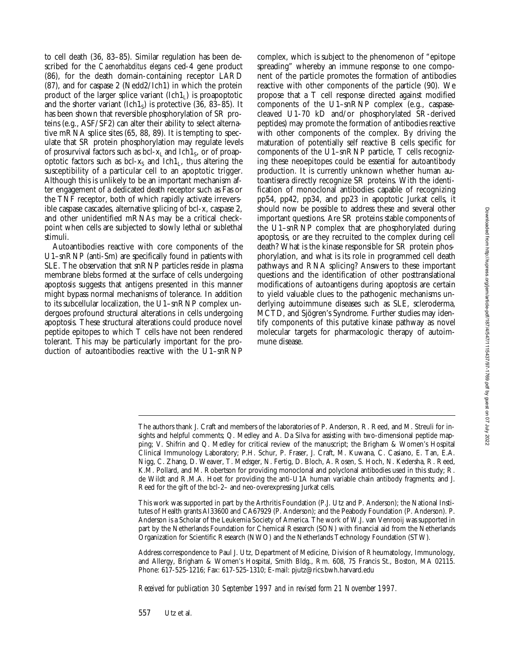to cell death (36, 83–85). Similar regulation has been described for the *Caenorhabditus elegans* ced-4 gene product (86), for the death domain-containing receptor LARD (87), and for caspase 2 (Nedd2/Ich1) in which the protein product of the larger splice variant  $(1ch1<sub>L</sub>)$  is proapoptotic and the shorter variant (Ich1<sub>S</sub>) is protective (36, 83–85). It has been shown that reversible phosphorylation of SR proteins (e.g., ASF/SF2) can alter their ability to select alternative mRNA splice sites (65, 88, 89). It is tempting to speculate that SR protein phosphorylation may regulate levels of prosurvival factors such as  $\text{bcl-}x_L$  and  $\text{Ich}1_S$ , or of proapoptotic factors such as bcl- $x_s$  and Ich1<sub>L</sub>, thus altering the susceptibility of a particular cell to an apoptotic trigger. Although this is unlikely to be an important mechanism after engagement of a dedicated death receptor such as Fas or the TNF receptor, both of which rapidly activate irreversible caspase cascades, alternative splicing of bcl-x, caspase 2, and other unidentified mRNAs may be a critical checkpoint when cells are subjected to slowly lethal or sublethal stimuli.

Autoantibodies reactive with core components of the U1–snRNP (anti-Sm) are specifically found in patients with SLE. The observation that snRNP particles reside in plasma membrane blebs formed at the surface of cells undergoing apoptosis suggests that antigens presented in this manner might bypass normal mechanisms of tolerance. In addition to its subcellular localization, the U1–snRNP complex undergoes profound structural alterations in cells undergoing apoptosis. These structural alterations could produce novel peptide epitopes to which T cells have not been rendered tolerant. This may be particularly important for the production of autoantibodies reactive with the U1–snRNP

complex, which is subject to the phenomenon of "epitope spreading" whereby an immune response to one component of the particle promotes the formation of antibodies reactive with other components of the particle (90). We propose that a T cell response directed against modified components of the U1–snRNP complex (e.g., caspasecleaved U1-70 kD and/or phosphorylated SR-derived peptides) may promote the formation of antibodies reactive with other components of the complex. By driving the maturation of potentially self reactive B cells specific for components of the U1–snRNP particle, T cells recognizing these neoepitopes could be essential for autoantibody production. It is currently unknown whether human autoantisera directly recognize SR proteins. With the identification of monoclonal antibodies capable of recognizing pp54, pp42, pp34, and pp23 in apoptotic Jurkat cells, it should now be possible to address these and several other important questions. Are SR proteins stable components of the U1–snRNP complex that are phosphorylated during apoptosis, or are they recruited to the complex during cell death? What is the kinase responsible for SR protein phosphorylation, and what is its role in programmed cell death pathways and RNA splicing? Answers to these important questions and the identification of other posttranslational modifications of autoantigens during apoptosis are certain to yield valuable clues to the pathogenic mechanisms underlying autoimmune diseases such as SLE, scleroderma, MCTD, and Sjögren's Syndrome. Further studies may identify components of this putative kinase pathway as novel molecular targets for pharmacologic therapy of autoimmune disease.

*Received for publication 30 September 1997 and in revised form 21 November 1997.*

The authors thank J. Craft and members of the laboratories of P. Anderson, R. Reed, and M. Streuli for insights and helpful comments; Q. Medley and A. Da Silva for assisting with two-dimensional peptide mapping; V. Shifrin and Q. Medley for critical review of the manuscript; the Brigham & Women's Hospital Clinical Immunology Laboratory; P.H. Schur, P. Fraser, J. Craft, M. Kuwana, C. Casiano, E. Tan, E.A. Nigg, C. Zhang, D. Weaver, T. Medsger, N. Fertig, D. Bloch, A. Rosen, S. Hoch, N. Kedersha, R. Reed, K.M. Pollard, and M. Robertson for providing monoclonal and polyclonal antibodies used in this study; R. de Wildt and R.M.A. Hoet for providing the anti-U1A human variable chain antibody fragments; and J. Reed for the gift of the bcl-2– and neo-overexpressing Jurkat cells.

This work was supported in part by the Arthritis Foundation (P.J. Utz and P. Anderson); the National Institutes of Health grants AI33600 and CA67929 (P. Anderson); and the Peabody Foundation (P. Anderson). P. Anderson is a Scholar of the Leukemia Society of America. The work of W.J. van Venrooij was supported in part by the Netherlands Foundation for Chemical Research (SON) with financial aid from the Netherlands Organization for Scientific Research (NWO) and the Netherlands Technology Foundation (STW).

Address correspondence to Paul J. Utz, Department of Medicine, Division of Rheumatology, Immunology, and Allergy, Brigham & Women's Hospital, Smith Bldg., Rm. 608, 75 Francis St., Boston, MA 02115. Phone: 617-525-1216; Fax: 617-525-1310; E-mail: pjutz@rics.bwh.harvard.edu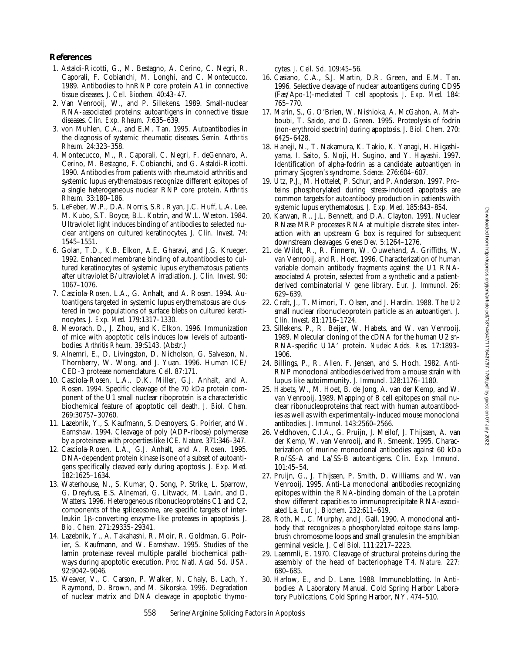## **References**

- 1. Astaldi-Ricotti, G., M. Bestagno, A. Cerino, C. Negri, R. Caporali, F. Cobianchi, M. Longhi, and C. Montecucco. 1989. Antibodies to hnRNP core protein A1 in connective tissue diseases. *J. Cell. Biochem.* 40:43–47.
- 2. Van Venrooij, W., and P. Sillekens. 1989. Small-nuclear RNA-associated proteins: autoantigens in connective tissue diseases. *Clin. Exp. Rheum.* 7:635–639.
- 3. von Muhlen, C.A., and E.M. Tan. 1995. Autoantibodies in the diagnosis of systemic rheumatic diseases. *Semin. Arthritis Rheum.* 24:323–358.
- 4. Montecucco, M., R. Caporali, C. Negri, F. deGennaro, A. Cerino, M. Bestagno, F. Cobianchi, and G. Astaldi-Ricotti. 1990. Antibodies from patients with rheumatoid arthritis and systemic lupus erythematosus recognize different epitopes of a single heterogeneous nuclear RNP core protein. *Arthritis Rheum.* 33:180–186.
- 5. LeFeber, W.P., D.A. Norris, S.R. Ryan, J.C. Huff, L.A. Lee, M. Kubo, S.T. Boyce, B.L. Kotzin, and W.L. Weston. 1984. Ultraviolet light induces binding of antibodies to selected nuclear antigens on cultured keratinocytes. *J. Clin. Invest.* 74: 1545–1551.
- 6. Golan, T.D., K.B. Elkon, A.E. Gharavi, and J.G. Krueger. 1992. Enhanced membrane binding of autoantibodies to cultured keratinocytes of systemic lupus erythematosus patients after ultraviolet B/ultraviolet A irradiation. *J. Clin. Invest.* 90: 1067–1076.
- 7. Casciola-Rosen, L.A., G. Anhalt, and A. Rosen. 1994. Autoantigens targeted in systemic lupus erythematosus are clustered in two populations of surface blebs on cultured keratinocytes. *J. Exp. Med.* 179:1317–1330.
- 8. Mevorach, D., J. Zhou, and K. Elkon. 1996. Immunization of mice with apoptotic cells induces low levels of autoantibodies. *Arthritis Rheum.* 39:S143. (Abstr.)
- 9. Alnemri, E., D. Livingston, D. Nicholson, G. Salveson, N. Thornberry, W. Wong, and J. Yuan. 1996. Human ICE/ CED-3 protease nomenclature. *Cell*. 87:171.
- 10. Casciola-Rosen, L.A., D.K. Miller, G.J. Anhalt, and A. Rosen. 1994. Specific cleavage of the 70 kDa protein component of the U1 small nuclear riboprotein is a characteristic biochemical feature of apoptotic cell death. *J. Biol. Chem.* 269:30757–30760.
- 11. Lazebnik, Y., S. Kaufmann, S. Desnoyers, G. Poirier, and W. Earnshaw. 1994. Cleavage of poly (ADP-ribose) polymerase by a proteinase with properties like ICE. *Nature*. 371:346–347.
- 12. Casciola-Rosen, L.A., G.J. Anhalt, and A. Rosen. 1995. DNA-dependent protein kinase is one of a subset of autoantigens specifically cleaved early during apoptosis. *J. Exp. Med.* 182:1625–1634.
- 13. Waterhouse, N., S. Kumar, Q. Song, P. Strike, L. Sparrow, G. Dreyfuss, E.S. Alnemari, G. Litwack, M. Lavin, and D. Watters. 1996. Heterogeneous ribonucleoproteins C1 and C2, components of the spliceosome, are specific targets of interleukin 1b-converting enzyme-like proteases in apoptosis. *J. Biol. Chem.* 271:29335–29341.
- 14. Lazebnik, Y., A. Takahashi, R. Moir, R. Goldman, G. Poirier, S. Kaufmann, and W. Earnshaw. 1995. Studies of the lamin proteinase reveal multiple parallel biochemical pathways during apoptotic execution. *Proc. Natl. Acad. Sci. USA*. 92:9042–9046.
- 15. Weaver, V., C. Carson, P. Walker, N. Chaly, B. Lach, Y. Raymond, D. Brown, and M. Sikorska. 1996. Degradation of nuclear matrix and DNA cleavage in apoptotic thymo-

cytes. *J. Cell. Sci*. 109:45–56.

- 16. Casiano, C.A., S.J. Martin, D.R. Green, and E.M. Tan. 1996. Selective cleavage of nuclear autoantigens during CD95 (Fas/Apo-1)-mediated T cell apoptosis. *J. Exp. Med.* 184: 765–770.
- 17. Marin, S., G. O'Brien, W. Nishioka, A. McGahon, A. Mahboubi, T. Saido, and D. Green. 1995. Proteolysis of fodrin (non-erythroid spectrin) during apoptosis. *J. Biol. Chem.* 270: 6425–6428.
- 18. Haneji, N., T. Nakamura, K. Takio, K. Yanagi, H. Higashiyama, I. Saito, S. Noji, H. Sugino, and Y. Hayashi. 1997. Identification of alpha-fodrin as a candidate autoantigen in primary Sjogren's syndrome. *Science.* 276:604–607.
- 19. Utz, P.J., M. Hottelet, P. Schur, and P. Anderson. 1997. Proteins phosphorylated during stress-induced apoptosis are common targets for autoantibody production in patients with systemic lupus erythematosus. *J. Exp. Med*. 185:843–854.
- 20. Karwan, R., J.L. Bennett, and D.A. Clayton. 1991. Nuclear RNase MRP processes RNA at multiple discrete sites: interaction with an upstream G box is required for subsequent downstream cleavages. *Genes Dev.* 5:1264–1276.
- 21. de Wildt, R., R. Finnern, W. Ouwehand, A. Griffiths, W. van Venrooij, and R. Hoet. 1996. Characterization of human variable domain antibody fragments against the U1 RNAassociated A protein, selected from a synthetic and a patientderived combinatorial V gene library. *Eur. J. Immunol*. 26: 629–639.
- 22. Craft, J., T. Mimori, T. Olsen, and J. Hardin. 1988. The U2 small nuclear ribonucleoprotein particle as an autoantigen. *J. Clin. Invest*. 81:1716–1724.
- 23. Sillekens, P., R. Beijer, W. Habets, and W. van Venrooij. 1989. Molecular cloning of the cDNA for the human U2 sn-RNA-specific U1A9 protein. *Nucleic Acids. Res.* 17:1893– 1906.
- 24. Billings, P., R. Allen, F. Jensen, and S. Hoch. 1982. Anti-RNP monoclonal antibodies derived from a mouse strain with lupus-like autoimmunity. *J. Immunol*. 128:1176–1180.
- 25. Habets, W., M. Hoet, B. de Jong, A. van der Kemp, and W. van Venrooij. 1989. Mapping of B cell epitopes on small nuclear ribonucleoproteins that react with human autoantibodies as well as with experimentally-induced mouse monoclonal antibodies. *J. Immunol.* 143:2560–2566.
- 26. Veldhoven, C.I.A., G. Pruijn, J. Meilof, J. Thijssen, A. van der Kemp, W. van Venrooij, and R. Smeenk. 1995. Characterization of murine monoclonal antibodies against 60 kDa Ro/SS-A and La/SS-B autoantigens. *Clin. Exp. Immunol.* 101:45–54.
- 27. Pruijn, G., J. Thijssen, P. Smith, D. Williams, and W. van Venrooij. 1995. Anti-La monoclonal antibodies recognizing epitopes within the RNA-binding domain of the La protein show different capacities to immunoprecipitate RNA-associated La. *Eur. J. Biochem.* 232:611–619.
- 28. Roth, M., C. Murphy, and J. Gall. 1990. A monoclonal antibody that recognizes a phosphorylated epitope stains lampbrush chromosome loops and small granules in the amphibian germinal vesicle. *J. Cell Biol.* 111:2217–2223.
- 29. Laemmli, E. 1970. Cleavage of structural proteins during the assembly of the head of bacteriophage T4. *Nature.* 227: 680–685.
- 30. Harlow, E., and D. Lane. 1988. Immunoblotting. *In* Antibodies: A Laboratory Manual. Cold Spring Harbor Laboratory Publications, Cold Spring Harbor, NY. 474–510.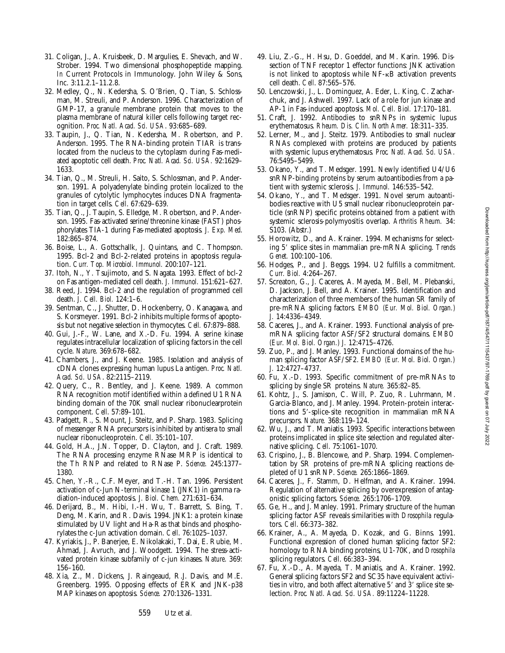Downloaded from http://rupress.org/jem/article-pdf/187/4711115437/97-1769.pdf by guest on 07 July 2022 Downloaded from http://rupress.org/jem/article-pdf/187/4/547/1115437/97-1769.pdf by guest on 07 July 2022

- 31. Coligan, J., A. Kruisbeek, D. Margulies, E. Shevach, and W. Strober. 1994. Two dimensional phosphopeptide mapping. *In* Current Protocols in Immunology. John Wiley & Sons, Inc. 3:11.2.1–11.2.8.
- 32. Medley, Q., N. Kedersha, S. O'Brien, Q. Tian, S. Schlossman, M. Streuli, and P. Anderson. 1996. Characterization of GMP-17, a granule membrane protein that moves to the plasma membrane of natural killer cells following target recognition. *Proc. Natl. Acad. Sci. USA*. 93:685–689.
- 33. Taupin, J., Q. Tian, N. Kedersha, M. Robertson, and P. Anderson. 1995. The RNA-binding protein TIAR is translocated from the nucleus to the cytoplasm during Fas-mediated apoptotic cell death. *Proc. Natl. Acad. Sci. USA.* 92:1629– 1633.
- 34. Tian, Q., M. Streuli, H. Saito, S. Schlossman, and P. Anderson. 1991. A polyadenylate binding protein localized to the granules of cytolytic lymphocytes induces DNA fragmentation in target cells. *Cell*. 67:629–639.
- 35. Tian, Q., J. Taupin, S. Elledge, M. Robertson, and P. Anderson. 1995. Fas-activated serine/threonine kinase (FAST) phosphorylates TIA-1 during Fas-mediated apoptosis. *J. Exp. Med*. 182:865–874.
- 36. Boise, L., A. Gottschallk, J. Quintans, and C. Thompson. 1995. Bcl-2 and Bcl-2-related proteins in apoptosis regulation. *Curr. Top. Microbiol. Immunol.* 200:107–121.
- 37. Itoh, N., Y. Tsujimoto, and S. Nagata. 1993. Effect of bcl-2 on Fas antigen-mediated cell death. *J. Immunol.* 151:621–627.
- 38. Reed, J. 1994. Bcl-2 and the regulation of programmed cell death. *J. Cell. Biol.* 124:1–6.
- 39. Sentman, C., J. Shutter, D. Hockenberry, O. Kanagawa, and S. Korsmeyer. 1991. Bcl-2 inhibits multiple forms of apoptosis but not negative selection in thymocytes. *Cell.* 67:879–888.
- 40. Gui, J.-F., W. Lane, and X.-D. Fu. 1994. A serine kinase regulates intracellular localization of splicing factors in the cell cycle. *Nature*. 369:678–682.
- 41. Chambers, J., and J. Keene. 1985. Isolation and analysis of cDNA clones expressing human lupus La antigen. *Proc. Natl. Acad. Sci. USA*. 82:2115–2119.
- 42. Query, C., R. Bentley, and J. Keene. 1989. A common RNA recognition motif identified within a defined U1 RNA binding domain of the 70K small nuclear ribonuclearprotein component. *Cell*. 57:89–101.
- 43. Padgett, R., S. Mount, J. Steitz, and P. Sharp. 1983. Splicing of messenger RNA precursors is inhibited by antisera to small nuclear ribonucleoprotein. *Cell*. 35:101–107.
- 44. Gold, H.A., J.N. Topper, D. Clayton, and J. Craft. 1989. The RNA processing enzyme RNase MRP is identical to the Th RNP and related to RNase P. *Science*. 245:1377– 1380.
- 45. Chen, Y.-R., C.F. Meyer, and T.-H. Tan. 1996. Persistent activation of c-Jun N-terminal kinase 1 (JNK1) in gamma radiation-induced apoptosis. *J. Biol. Chem.* 271:631–634.
- 46. Derijard, B., M. Hibi, I.-H. Wu, T. Barrett, S. Bing, T. Deng, M. Karin, and R. Davis. 1994. JNK1: a protein kinase stimulated by UV light and Ha-Ras that binds and phosphorylates the c-Jun activation domain. *Cell*. 76:1025–1037.
- 47. Kyriakis, J., P. Banerjee, E. Nikolakaki, T. Dai, E. Rubie, M. Ahmad, J. Avruch, and J. Woodgett. 1994. The stress-activated protein kinase subfamily of c-jun kinases. *Nature*. 369: 156–160.
- 48. Xia, Z., M. Dickens, J. Raingeaud, R.J. Davis, and M.E. Greenberg. 1995. Opposing effects of ERK and JNK-p38 MAP kinases on apoptosis. *Science.* 270:1326–1331.
- 49. Liu, Z.-G., H. Hsu, D. Goeddel, and M. Karin. 1996. Dissection of TNF receptor 1 effector functions: JNK activation is not linked to apoptosis while  $NF-\kappa B$  activation prevents cell death. *Cell*. 87:565–576.
- 50. Lenczowski, J., L. Dominguez, A. Eder, L. King, C. Zacharchuk, and J. Ashwell. 1997. Lack of a role for jun kinase and AP-1 in Fas-induced apoptosis. *Mol. Cell. Biol.* 17:170–181.
- 51. Craft, J. 1992. Antibodies to snRNPs in systemic lupus erythematosus. *Rheum. Dis. Clin. North Amer.* 18:311–335.
- 52. Lerner, M., and J. Steitz. 1979. Antibodies to small nuclear RNAs complexed with proteins are produced by patients with systemic lupus erythematosus. *Proc. Natl. Acad. Sci. USA.* 76:5495–5499.
- 53. Okano, Y., and T. Medsger. 1991. Newly identified U4/U6 snRNP-binding proteins by serum autoantibodies from a patient with systemic sclerosis. *J. Immunol.* 146:535–542.
- 54. Okano, Y., and T. Medsger. 1991. Novel serum autoantibodies reactive with U5 small nuclear ribonucleoprotein particle (snRNP) specific proteins obtained from a patient with systemic sclerosis-polymyositis overlap. *Arthritis Rheum.* 34: S103. (Abstr.)
- 55. Horowitz, D., and A. Krainer. 1994. Mechanisms for selecting 5' splice sites in mammalian pre-mRNA splicing. *Trends Genet.* 100:100–106.
- 56. Hodges, P., and J. Beggs. 1994. U2 fulfills a commitment. *Curr. Biol.* 4:264–267.
- 57. Screaton, G., J. Caceres, A. Mayeda, M. Bell, M. Plebanski, D. Jackson, J. Bell, and A. Krainer. 1995. Identification and characterization of three members of the human SR family of pre-mRNA splicing factors. *EMBO (Eur. Mol. Biol. Organ.) J.* 14:4336–4349.
- 58. Caceres, J., and A. Krainer. 1993. Functional analysis of premRNA splicing factor ASF/SF2 structural domains. *EMBO (Eur. Mol. Biol. Organ.) J.* 12:4715–4726.
- 59. Zuo, P., and J. Manley. 1993. Functional domains of the human splicing factor ASF/SF2. *EMBO (Eur. Mol. Biol. Organ.) J.* 12:4727–4737.
- 60. Fu, X.-D. 1993. Specific commitment of pre-mRNAs to splicing by single SR proteins. *Nature.* 365:82–85.
- 61. Kohtz, J., S. Jamison, C. Will, P. Zuo, R. Luhrmann, M. Garcia-Blanco, and J. Manley. 1994. Protein-protein interactions and 5'-splice-site recognition in mammalian mRNA precursors. *Nature.* 368:119–124.
- 62. Wu, J., and T. Maniatis. 1993. Specific interactions between proteins implicated in splice site selection and regulated alternative splicing. *Cell*. 75:1061–1070.
- 63. Crispino, J., B. Blencowe, and P. Sharp. 1994. Complementation by SR proteins of pre-mRNA splicing reactions depleted of U1 snRNP. *Science.* 265:1866–1869.
- 64. Caceres, J., F. Stamm, D. Helfman, and A. Krainer. 1994. Regulation of alternative splicing by overexpression of antagonistic splicing factors. *Science.* 265:1706–1709.
- 65. Ge, H., and J. Manley. 1991. Primary structure of the human splicing factor ASF reveals similarities with *Drosophila* regulators. *Cell*. 66:373–382.
- 66. Krainer, A., A. Mayeda, D. Kozak, and G. Binns. 1991. Functional expression of cloned human splicing factor SF2: homology to RNA binding proteins, U1-70K, and *Drosophila* splicing regulators. *Cell*. 66:383–394.
- 67. Fu, X.-D., A. Mayeda, T. Maniatis, and A. Krainer. 1992. General splicing factors SF2 and SC35 have equivalent activities in vitro, and both affect alternative 5' and 3' splice site selection. *Proc. Natl. Acad. Sci. USA.* 89:11224–11228.

559 Utz et al.